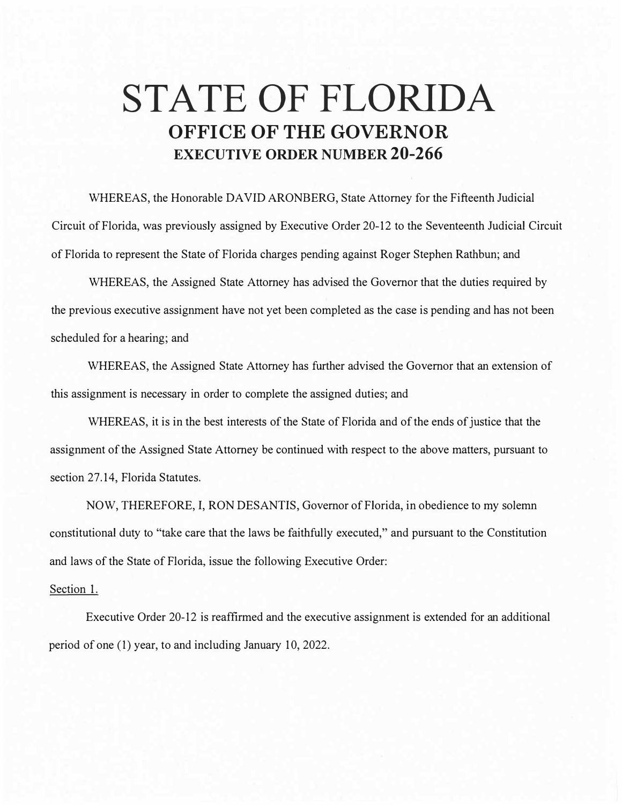## **STATE OF FLORIDA OFFICE OF THE GOVERNOR EXECUTIVE ORDER NUMBER 20-266**

WHEREAS, the Honorable DAVID ARONBERG, State Attorney for the Fifteenth Judicial Circuit of Florida, was previously assigned by Executive Order 20-12 to the Seventeenth Judicial Circuit of Florida to represent the State of Florida charges pending against Roger Stephen Rathbun; and

WHEREAS, the Assigned State Attorney has advised the Governor that the duties required by the previous executive assignment have not yet been completed as the case is pending and has not been scheduled for a hearing; and

WHEREAS, the Assigned State Attorney has further advised the Governor that an extension of this assignment is necessary in order to complete the assigned duties; and

WHEREAS, it is in the best interests of the State of Florida and of the ends of justice that the assignment of the Assigned State Attorney be continued with respect to the above matters, pursuant to section 27.14, Florida Statutes.

NOW, THEREFORE, I, RON DESANTIS, Governor of Florida, in obedience to my solemn constitutional duty to "take care that the laws be faithfully executed," and pursuant to the Constitution and laws of the State of Florida, issue the following Executive Order:

## Section 1.

Executive Order 20-12 is reaffirmed and the executive assignment is extended for an additional period of one (I) year, to and including January 10, 2022.